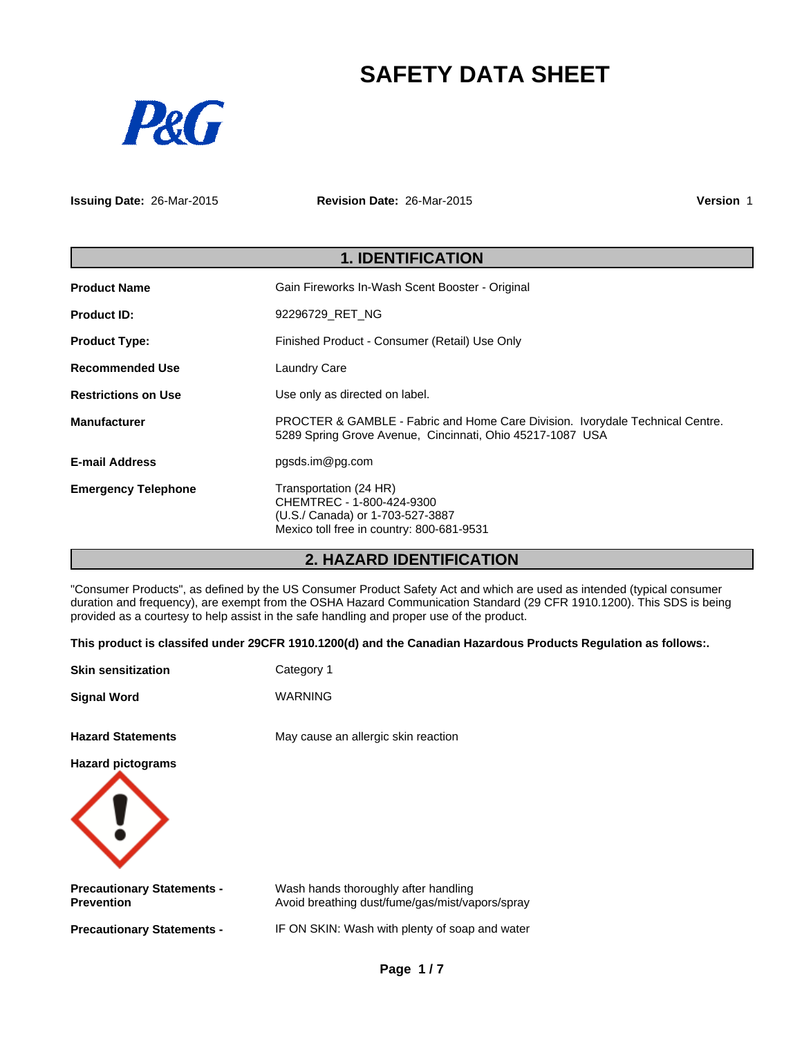# **SAFETY DATA SHEET**



**Issuing Date:** 26-Mar-2015

**Revision Date:** 26-Mar-2015

**Version** 1

|                            | <b>1. IDENTIFICATION</b>                                                                                                                   |
|----------------------------|--------------------------------------------------------------------------------------------------------------------------------------------|
| <b>Product Name</b>        | Gain Fireworks In-Wash Scent Booster - Original                                                                                            |
| <b>Product ID:</b>         | 92296729 RET NG                                                                                                                            |
| <b>Product Type:</b>       | Finished Product - Consumer (Retail) Use Only                                                                                              |
| <b>Recommended Use</b>     | <b>Laundry Care</b>                                                                                                                        |
| <b>Restrictions on Use</b> | Use only as directed on label.                                                                                                             |
| <b>Manufacturer</b>        | PROCTER & GAMBLE - Fabric and Home Care Division. Ivorydale Technical Centre.<br>5289 Spring Grove Avenue, Cincinnati, Ohio 45217-1087 USA |
| <b>E-mail Address</b>      | pgsds.im@pg.com                                                                                                                            |
| <b>Emergency Telephone</b> | Transportation (24 HR)<br>CHEMTREC - 1-800-424-9300<br>(U.S./ Canada) or 1-703-527-3887<br>Mexico toll free in country: 800-681-9531       |

# **2. HAZARD IDENTIFICATION**

"Consumer Products", as defined by the US Consumer Product Safety Act and which are used as intended (typical consumer duration and frequency), are exempt from the OSHA Hazard Communication Standard (29 CFR 1910.1200). This SDS is being provided as a courtesy to help assist in the safe handling and proper use of the product.

**This product is classifed under 29CFR 1910.1200(d) and the Canadian Hazardous Products Regulation as follows:.**

| <b>Skin sensitization</b>                              | Category 1                                                                              |
|--------------------------------------------------------|-----------------------------------------------------------------------------------------|
| <b>Signal Word</b>                                     | <b>WARNING</b>                                                                          |
| <b>Hazard Statements</b>                               | May cause an allergic skin reaction                                                     |
| <b>Hazard pictograms</b>                               |                                                                                         |
|                                                        |                                                                                         |
| <b>Precautionary Statements -</b><br><b>Prevention</b> | Wash hands thoroughly after handling<br>Avoid breathing dust/fume/gas/mist/vapors/spray |
| <b>Precautionary Statements -</b>                      | IF ON SKIN: Wash with plenty of soap and water                                          |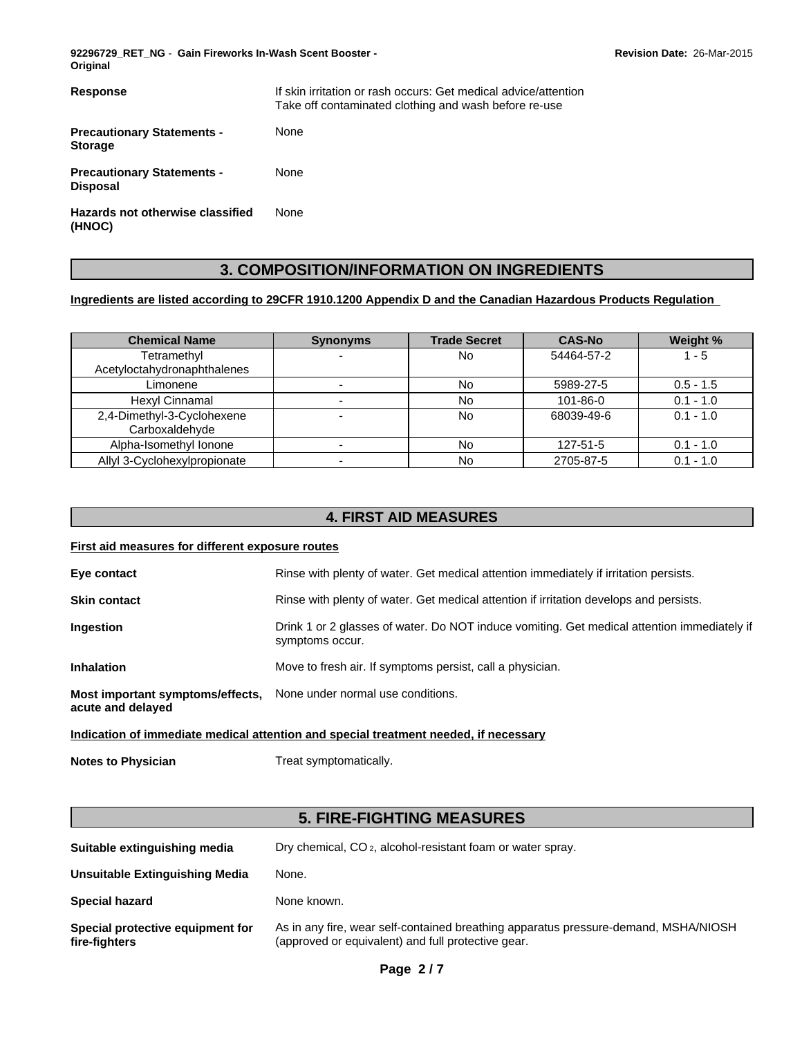**92296729\_RET\_NG** - **Gain Fireworks In-Wash Scent Booster - Original**

| Response                                             | If skin irritation or rash occurs: Get medical advice/attention<br>Take off contaminated clothing and wash before re-use |
|------------------------------------------------------|--------------------------------------------------------------------------------------------------------------------------|
| <b>Precautionary Statements -</b><br><b>Storage</b>  | None                                                                                                                     |
| <b>Precautionary Statements -</b><br><b>Disposal</b> | None                                                                                                                     |
| Hazards not otherwise classified<br>(HNOC)           | None                                                                                                                     |

# **3. COMPOSITION/INFORMATION ON INGREDIENTS**

# **Ingredients are listed according to 29CFR 1910.1200 Appendix D and the Canadian Hazardous Products Regulation**

| <b>Chemical Name</b>                         | <b>Synonyms</b> | <b>Trade Secret</b> | <b>CAS-No</b> | Weight %    |
|----------------------------------------------|-----------------|---------------------|---------------|-------------|
| Tetramethyl                                  |                 | No                  | 54464-57-2    | 1 - 5       |
| Acetyloctahydronaphthalenes                  |                 |                     |               |             |
| Limonene                                     |                 | No                  | 5989-27-5     | $0.5 - 1.5$ |
| Hexyl Cinnamal                               |                 | No                  | 101-86-0      | $0.1 - 1.0$ |
| 2,4-Dimethyl-3-Cyclohexene<br>Carboxaldehyde |                 | No                  | 68039-49-6    | $0.1 - 1.0$ |
| Alpha-Isomethyl Ionone                       |                 | No                  | 127-51-5      | $0.1 - 1.0$ |
| Allyl 3-Cyclohexylpropionate                 |                 | No                  | 2705-87-5     | $0.1 - 1.0$ |

# **4. FIRST AID MEASURES**

# **First aid measures for different exposure routes**

| Eye contact                                           | Rinse with plenty of water. Get medical attention immediately if irritation persists.                          |
|-------------------------------------------------------|----------------------------------------------------------------------------------------------------------------|
| <b>Skin contact</b>                                   | Rinse with plenty of water. Get medical attention if irritation develops and persists.                         |
| <b>Ingestion</b>                                      | Drink 1 or 2 glasses of water. Do NOT induce vomiting. Get medical attention immediately if<br>symptoms occur. |
| <b>Inhalation</b>                                     | Move to fresh air. If symptoms persist, call a physician.                                                      |
| Most important symptoms/effects,<br>acute and delayed | None under normal use conditions.                                                                              |

# **Indication of immediate medical attention and special treatment needed, if necessary**

**Notes to Physician** Treat symptomatically.

# **5. FIRE-FIGHTING MEASURES**

| Suitable extinguishing media                      | Dry chemical, CO <sub>2</sub> , alcohol-resistant foam or water spray.                                                                    |
|---------------------------------------------------|-------------------------------------------------------------------------------------------------------------------------------------------|
| <b>Unsuitable Extinguishing Media</b>             | None.                                                                                                                                     |
| <b>Special hazard</b>                             | None known.                                                                                                                               |
| Special protective equipment for<br>fire-fighters | As in any fire, wear self-contained breathing apparatus pressure-demand, MSHA/NIOSH<br>(approved or equivalent) and full protective gear. |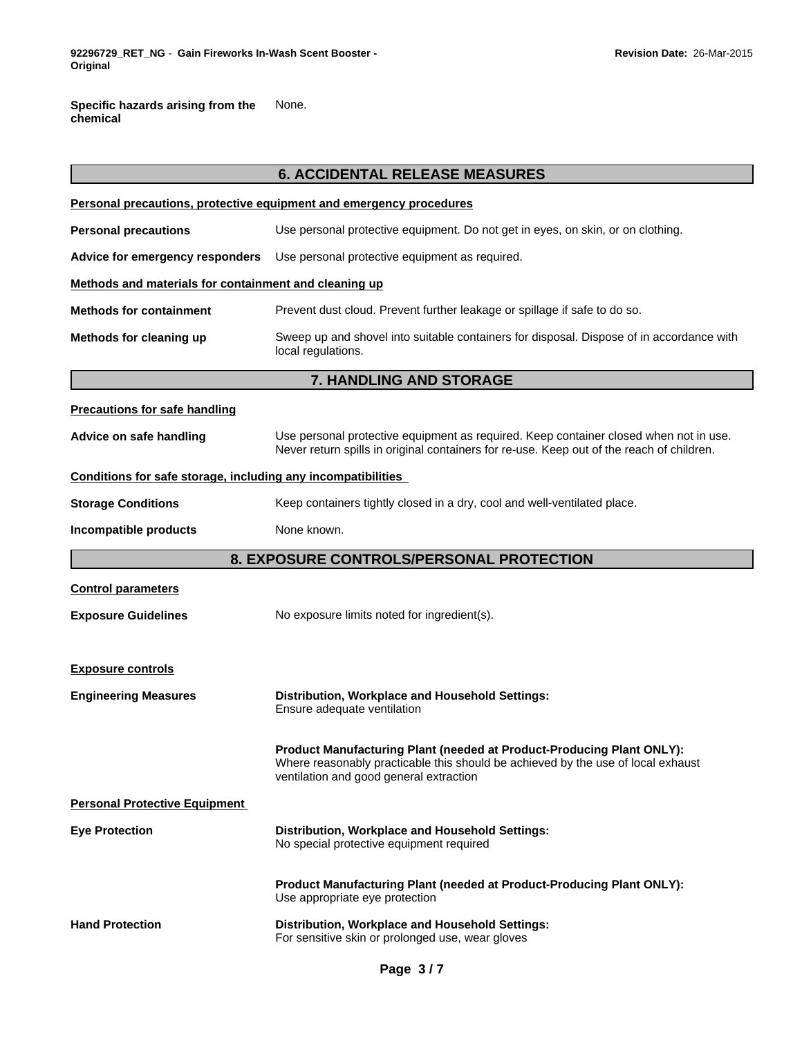**Specific hazards arising from the chemical** None.

|                                                              | <b>6. ACCIDENTAL RELEASE MEASURES</b>                                                                                                                                                                |  |  |
|--------------------------------------------------------------|------------------------------------------------------------------------------------------------------------------------------------------------------------------------------------------------------|--|--|
|                                                              | Personal precautions, protective equipment and emergency procedures                                                                                                                                  |  |  |
| <b>Personal precautions</b>                                  | Use personal protective equipment. Do not get in eyes, on skin, or on clothing.                                                                                                                      |  |  |
| Advice for emergency responders                              | Use personal protective equipment as required.                                                                                                                                                       |  |  |
| Methods and materials for containment and cleaning up        |                                                                                                                                                                                                      |  |  |
| <b>Methods for containment</b>                               | Prevent dust cloud. Prevent further leakage or spillage if safe to do so.                                                                                                                            |  |  |
| Methods for cleaning up                                      | Sweep up and shovel into suitable containers for disposal. Dispose of in accordance with<br>local regulations.                                                                                       |  |  |
|                                                              | 7. HANDLING AND STORAGE                                                                                                                                                                              |  |  |
| <b>Precautions for safe handling</b>                         |                                                                                                                                                                                                      |  |  |
| Advice on safe handling                                      | Use personal protective equipment as required. Keep container closed when not in use.<br>Never return spills in original containers for re-use. Keep out of the reach of children.                   |  |  |
| Conditions for safe storage, including any incompatibilities |                                                                                                                                                                                                      |  |  |
| <b>Storage Conditions</b>                                    | Keep containers tightly closed in a dry, cool and well-ventilated place.                                                                                                                             |  |  |
| Incompatible products                                        | None known.                                                                                                                                                                                          |  |  |
|                                                              | 8. EXPOSURE CONTROLS/PERSONAL PROTECTION                                                                                                                                                             |  |  |
| <b>Control parameters</b>                                    |                                                                                                                                                                                                      |  |  |
| <b>Exposure Guidelines</b>                                   | No exposure limits noted for ingredient(s).                                                                                                                                                          |  |  |
| <b>Exposure controls</b>                                     |                                                                                                                                                                                                      |  |  |
| <b>Engineering Measures</b>                                  | Distribution, Workplace and Household Settings:<br>Ensure adequate ventilation                                                                                                                       |  |  |
|                                                              | Product Manufacturing Plant (needed at Product-Producing Plant ONLY):<br>Where reasonably practicable this should be achieved by the use of local exhaust<br>ventilation and good general extraction |  |  |
| <b>Personal Protective Equipment</b>                         |                                                                                                                                                                                                      |  |  |
| <b>Eye Protection</b>                                        | Distribution, Workplace and Household Settings:<br>No special protective equipment required                                                                                                          |  |  |
|                                                              | Product Manufacturing Plant (needed at Product-Producing Plant ONLY):<br>Use appropriate eye protection                                                                                              |  |  |
| <b>Hand Protection</b>                                       | Distribution, Workplace and Household Settings:<br>For sensitive skin or prolonged use, wear gloves                                                                                                  |  |  |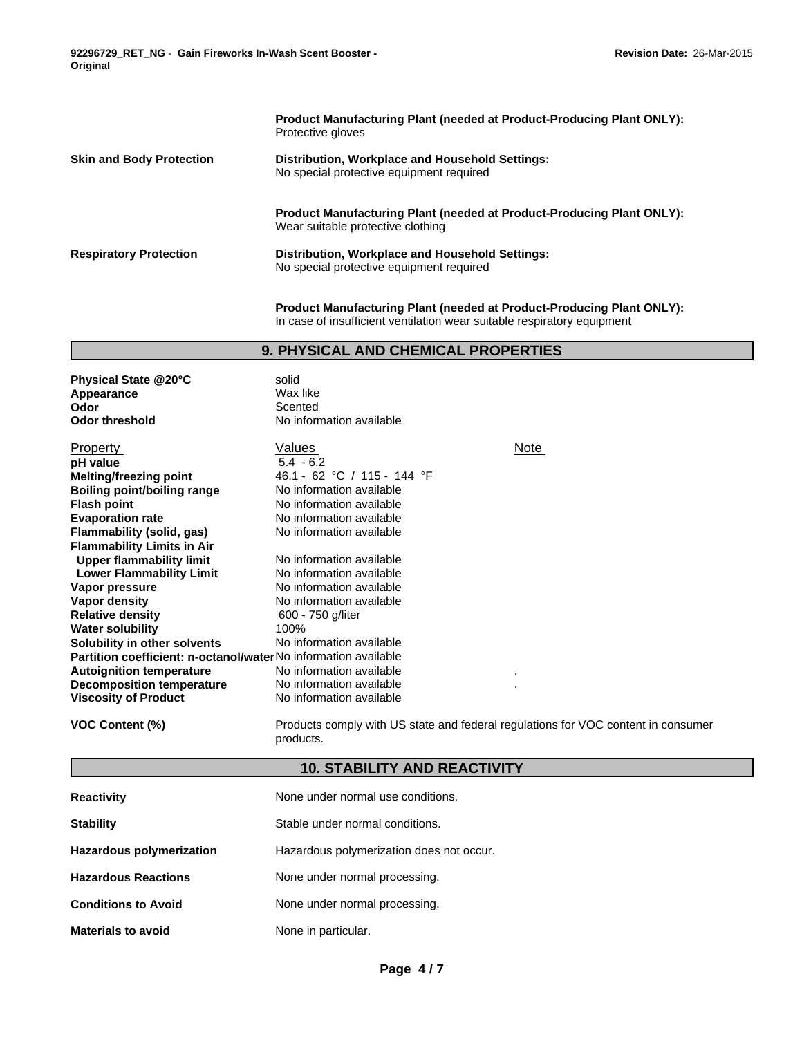**92296729\_RET\_NG** - **Gain Fireworks In-Wash Scent Booster - Original**

**Product Manufacturing Plant (needed at Product-Producing Plant ONLY):** Protective gloves **Skin and Body Protection Distribution, Workplace and Household Settings:** No special protective equipment required **Product Manufacturing Plant (needed at Product-Producing Plant ONLY):** Wear suitable protective clothing **Respiratory Protection Distribution, Workplace and Household Settings:** No special protective equipment required

> **Product Manufacturing Plant (needed at Product-Producing Plant ONLY):** In case of insufficient ventilation wear suitable respiratory equipment

# **9. PHYSICAL AND CHEMICAL PROPERTIES**

| Physical State @20°C                                                  | solid                       |      |
|-----------------------------------------------------------------------|-----------------------------|------|
| Appearance                                                            | Wax like                    |      |
| Odor                                                                  | Scented                     |      |
| <b>Odor threshold</b>                                                 | No information available    |      |
| <b>Property</b>                                                       | Values                      | Note |
| pH value                                                              | $5.4 - 6.2$                 |      |
|                                                                       | 46.1 - 62 °C / 115 - 144 °F |      |
| <b>Melting/freezing point</b>                                         |                             |      |
| Boiling point/boiling range                                           | No information available    |      |
| <b>Flash point</b>                                                    | No information available    |      |
| <b>Evaporation rate</b>                                               | No information available    |      |
| Flammability (solid, gas)                                             | No information available    |      |
| <b>Flammability Limits in Air</b>                                     |                             |      |
| <b>Upper flammability limit</b>                                       | No information available    |      |
| <b>Lower Flammability Limit</b>                                       | No information available    |      |
| Vapor pressure                                                        | No information available    |      |
| Vapor density                                                         | No information available    |      |
| <b>Relative density</b>                                               | 600 - 750 g/liter           |      |
| <b>Water solubility</b>                                               | 100%                        |      |
| Solubility in other solvents                                          | No information available    |      |
| <b>Partition coefficient: n-octanol/waterNo information available</b> |                             |      |
| <b>Autoignition temperature</b>                                       | No information available    | ٠    |
| <b>Decomposition temperature</b>                                      | No information available    |      |
| <b>Viscosity of Product</b>                                           | No information available    |      |
|                                                                       |                             |      |

**VOC Content (%)** Products comply with US state and federal regulations for VOC content in consumer products.

# **10. STABILITY AND REACTIVITY**

| <b>Reactivity</b>               | None under normal use conditions.        |
|---------------------------------|------------------------------------------|
| <b>Stability</b>                | Stable under normal conditions.          |
| <b>Hazardous polymerization</b> | Hazardous polymerization does not occur. |
| <b>Hazardous Reactions</b>      | None under normal processing.            |
| <b>Conditions to Avoid</b>      | None under normal processing.            |
| <b>Materials to avoid</b>       | None in particular.                      |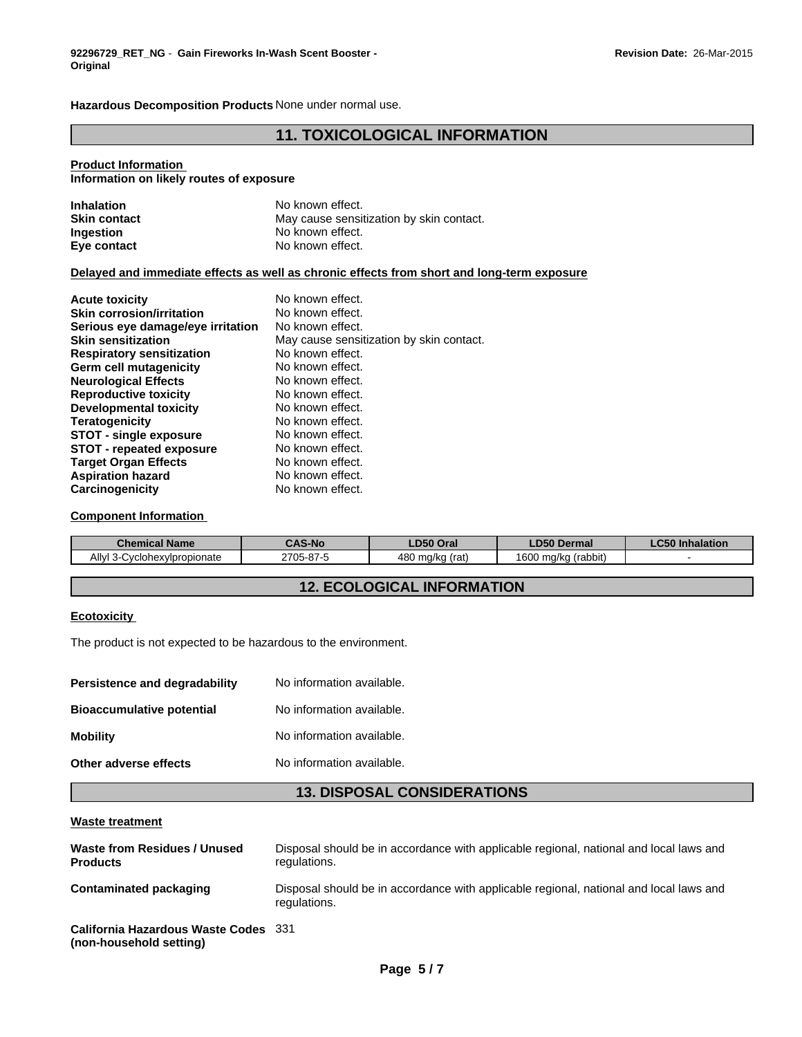**Hazardous Decomposition Products** None under normal use.

# **11. TOXICOLOGICAL INFORMATION**

# **Product Information**

# **Information on likely routes of exposure**

| <b>Inhalation</b>   | No known effect.                         |
|---------------------|------------------------------------------|
| <b>Skin contact</b> | May cause sensitization by skin contact. |
| Ingestion           | No known effect.                         |
| Eye contact         | No known effect.                         |

### **Delayed and immediate effects as well as chronic effects from short and long-term exposure**

| <b>Acute toxicity</b>             | No known effect.                         |
|-----------------------------------|------------------------------------------|
| <b>Skin corrosion/irritation</b>  | No known effect.                         |
| Serious eye damage/eye irritation | No known effect.                         |
| <b>Skin sensitization</b>         | May cause sensitization by skin contact. |
| <b>Respiratory sensitization</b>  | No known effect.                         |
| <b>Germ cell mutagenicity</b>     | No known effect.                         |
| <b>Neurological Effects</b>       | No known effect.                         |
| <b>Reproductive toxicity</b>      | No known effect.                         |
| Developmental toxicity            | No known effect.                         |
| Teratogenicity                    | No known effect.                         |
| <b>STOT - single exposure</b>     | No known effect.                         |
| <b>STOT - repeated exposure</b>   | No known effect.                         |
| <b>Target Organ Effects</b>       | No known effect.                         |
| <b>Aspiration hazard</b>          | No known effect.                         |
| Carcinogenicity                   | No known effect.                         |

### **Component Information**

| <b>Chemical Name</b>                                             | <b>CAS-No</b> | LD50 Oral                                   | <b>LD50 Dermal</b>                 | <b>OFO</b><br><b>LC50 Inhalation</b> |
|------------------------------------------------------------------|---------------|---------------------------------------------|------------------------------------|--------------------------------------|
| Ally'<br>$\sim$<br>vlpropionate<br>-Cyclohex <sup>*</sup><br>. . | ?705-87-5     | 480<br>(rat<br>ma/ka<br>40V<br>$\mathbf{v}$ | .<br>1600<br>(rabbit)<br>ma/ka<br> |                                      |

# **12. ECOLOGICAL INFORMATION**

### **Ecotoxicity**

The product is not expected to be hazardous to the environment.

| No information available. |
|---------------------------|
| No information available. |
| No information available. |
| No information available. |
|                           |

# **13. DISPOSAL CONSIDERATIONS**

#### **Waste treatment**

| Waste from Residues / Unused<br><b>Products</b>                 | Disposal should be in accordance with applicable regional, national and local laws and<br>regulations. |
|-----------------------------------------------------------------|--------------------------------------------------------------------------------------------------------|
| Contaminated packaging                                          | Disposal should be in accordance with applicable regional, national and local laws and<br>regulations. |
| California Hazardous Waste Codes 331<br>(non-household setting) |                                                                                                        |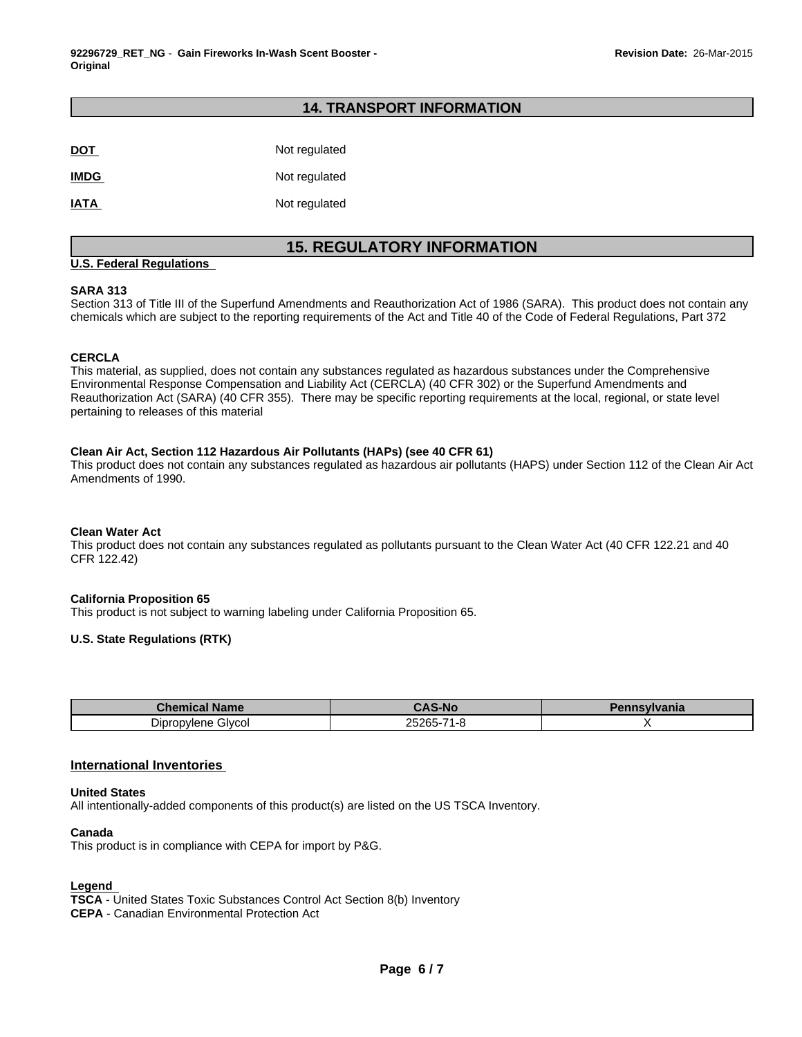# **14. TRANSPORT INFORMATION**

| <b>DOT</b>  | Not regulated |
|-------------|---------------|
| <b>IMDG</b> | Not regulated |
| <b>IATA</b> | Not regulated |

# **15. REGULATORY INFORMATION**

### **U.S. Federal Regulations**

### **SARA 313**

Section 313 of Title III of the Superfund Amendments and Reauthorization Act of 1986 (SARA). This product does not contain any chemicals which are subject to the reporting requirements of the Act and Title 40 of the Code of Federal Regulations, Part 372

### **CERCLA**

This material, as supplied, does not contain any substances regulated as hazardous substances under the Comprehensive Environmental Response Compensation and Liability Act (CERCLA) (40 CFR 302) or the Superfund Amendments and Reauthorization Act (SARA) (40 CFR 355). There may be specific reporting requirements at the local, regional, or state level pertaining to releases of this material

# **Clean Air Act, Section 112 Hazardous Air Pollutants (HAPs) (see 40 CFR 61)**

This product does not contain any substances regulated as hazardous air pollutants (HAPS) under Section 112 of the Clean Air Act Amendments of 1990.

#### **Clean Water Act**

This product does not contain any substances regulated as pollutants pursuant to the Clean Water Act (40 CFR 122.21 and 40 CFR 122.42)

#### **California Proposition 65**

This product is not subject to warning labeling under California Proposition 65.

### **U.S. State Regulations (RTK)**

| <b>Chemical Name</b>  | <b>CAS-No</b>   | Janna<br>vlvania<br>ышы |
|-----------------------|-----------------|-------------------------|
| Glycol<br>Dipropylene | つらつららこん<br>$-2$ |                         |

### **International Inventories**

#### **United States**

All intentionally-added components of this product(s) are listed on the US TSCA Inventory.

#### **Canada**

This product is in compliance with CEPA for import by P&G.

### **Legend**

**TSCA** - United States Toxic Substances Control Act Section 8(b) Inventory **CEPA** - Canadian Environmental Protection Act